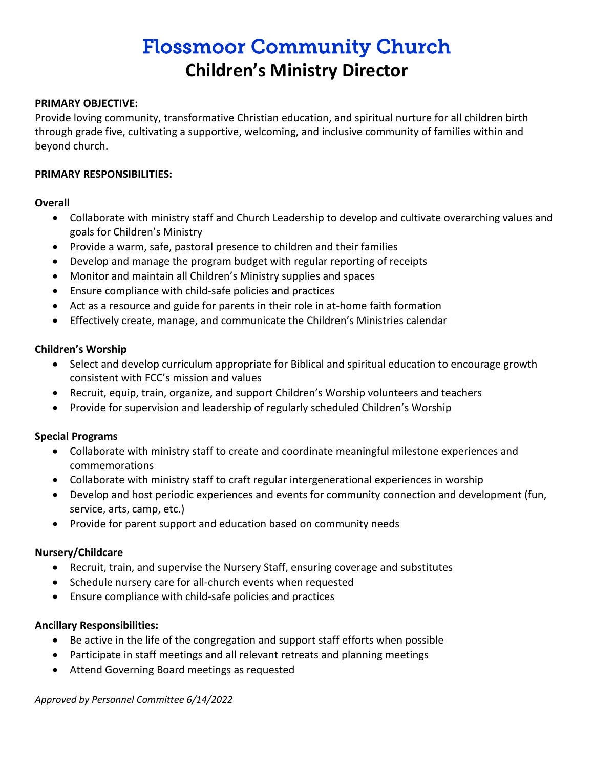# Flossmoor Community Church **Children's Ministry Director**

#### **PRIMARY OBJECTIVE:**

Provide loving community, transformative Christian education, and spiritual nurture for all children birth through grade five, cultivating a supportive, welcoming, and inclusive community of families within and beyond church.

#### **PRIMARY RESPONSIBILITIES:**

# **Overall**

- Collaborate with ministry staff and Church Leadership to develop and cultivate overarching values and goals for Children's Ministry
- Provide a warm, safe, pastoral presence to children and their families
- Develop and manage the program budget with regular reporting of receipts
- Monitor and maintain all Children's Ministry supplies and spaces
- Ensure compliance with child-safe policies and practices
- Act as a resource and guide for parents in their role in at-home faith formation
- Effectively create, manage, and communicate the Children's Ministries calendar

# **Children's Worship**

- Select and develop curriculum appropriate for Biblical and spiritual education to encourage growth consistent with FCC's mission and values
- Recruit, equip, train, organize, and support Children's Worship volunteers and teachers
- Provide for supervision and leadership of regularly scheduled Children's Worship

# **Special Programs**

- Collaborate with ministry staff to create and coordinate meaningful milestone experiences and commemorations
- Collaborate with ministry staff to craft regular intergenerational experiences in worship
- Develop and host periodic experiences and events for community connection and development (fun, service, arts, camp, etc.)
- Provide for parent support and education based on community needs

# **Nursery/Childcare**

- Recruit, train, and supervise the Nursery Staff, ensuring coverage and substitutes
- Schedule nursery care for all-church events when requested
- Ensure compliance with child-safe policies and practices

# **Ancillary Responsibilities:**

- Be active in the life of the congregation and support staff efforts when possible
- Participate in staff meetings and all relevant retreats and planning meetings
- Attend Governing Board meetings as requested

*Approved by Personnel Committee 6/14/2022*